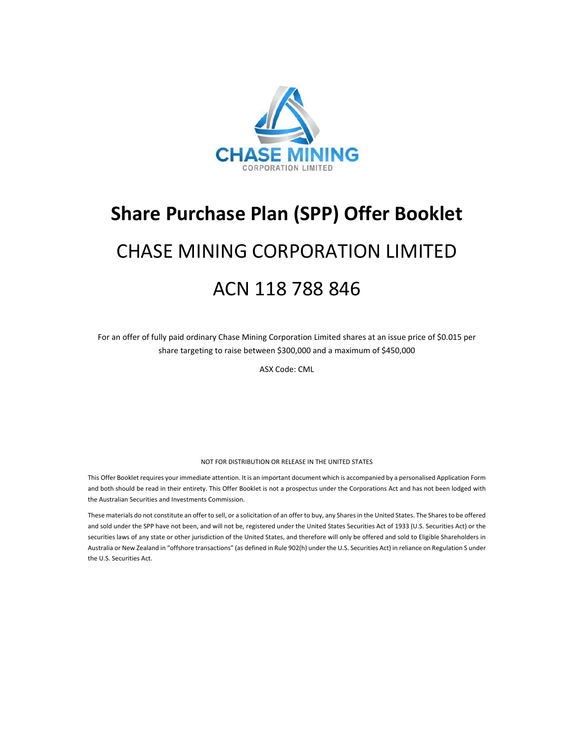

## **Share Purchase Plan (SPP) Offer Booklet**

# CHASE MINING CORPORATION LIMITED ACN 118 788 846

For an offer of fully paid ordinary Chase Mining Corporation Limited shares at an issue price of \$0.015 per share targeting to raise between \$300,000 and a maximum of \$450,000

ASX Code: CML

#### NOT FOR DISTRIBUTION OR RELEASE IN THE UNITED STATES

This Offer Booklet requires your immediate attention. It is an important document which is accompanied by a personalised Application Form and both should be read in their entirety. This Offer Booklet is not a prospectus under the Corporations Act and has not been lodged with the Australian Securities and Investments Commission.

These materials do not constitute an offer to sell, or a solicitation of an offer to buy, any Shares in the United States. The Shares to be offered and sold under the SPP have not been, and will not be, registered under the United States Securities Act of 1933 (U.S. Securities Act) or the securities laws of any state or other jurisdiction of the United States, and therefore will only be offered and sold to Eligible Shareholders in Australia or New Zealand in "offshore transactions" (as defined in Rule 902(h) under the U.S. Securities Act) in reliance on Regulation S under the U.S. Securities Act.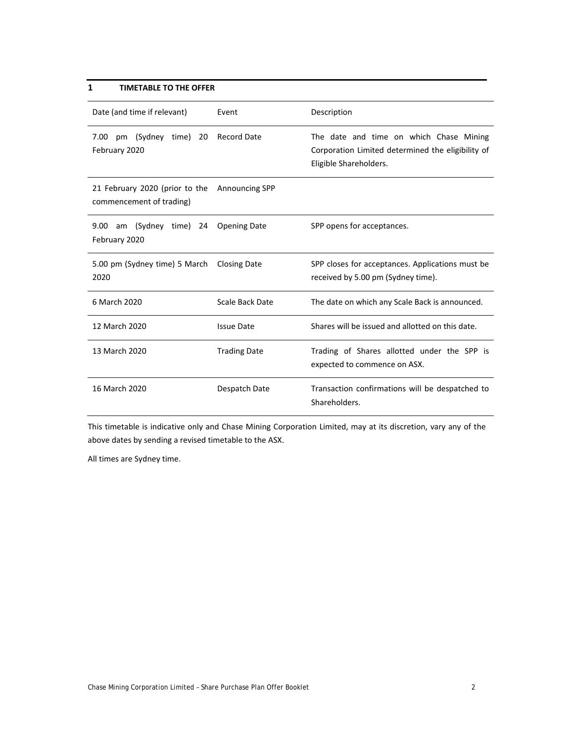## **1 TIMETABLE TO THE OFFER**

| Date (and time if relevant)                                | Event                 | Description                                                                                                            |  |  |
|------------------------------------------------------------|-----------------------|------------------------------------------------------------------------------------------------------------------------|--|--|
| 7.00 pm (Sydney time) 20<br>February 2020                  | <b>Record Date</b>    | The date and time on which Chase Mining<br>Corporation Limited determined the eligibility of<br>Eligible Shareholders. |  |  |
| 21 February 2020 (prior to the<br>commencement of trading) | <b>Announcing SPP</b> |                                                                                                                        |  |  |
| 9.00 am (Sydney time) 24<br>February 2020                  | <b>Opening Date</b>   | SPP opens for acceptances.                                                                                             |  |  |
| 5.00 pm (Sydney time) 5 March<br>2020                      | <b>Closing Date</b>   | SPP closes for acceptances. Applications must be<br>received by 5.00 pm (Sydney time).                                 |  |  |
| 6 March 2020                                               | Scale Back Date       | The date on which any Scale Back is announced.                                                                         |  |  |
| 12 March 2020                                              | <b>Issue Date</b>     | Shares will be issued and allotted on this date.                                                                       |  |  |
| 13 March 2020                                              | <b>Trading Date</b>   | Trading of Shares allotted under the SPP is<br>expected to commence on ASX.                                            |  |  |
| 16 March 2020                                              | Despatch Date         | Transaction confirmations will be despatched to<br>Shareholders.                                                       |  |  |

This timetable is indicative only and Chase Mining Corporation Limited, may at its discretion, vary any of the above dates by sending a revised timetable to the ASX.

All times are Sydney time.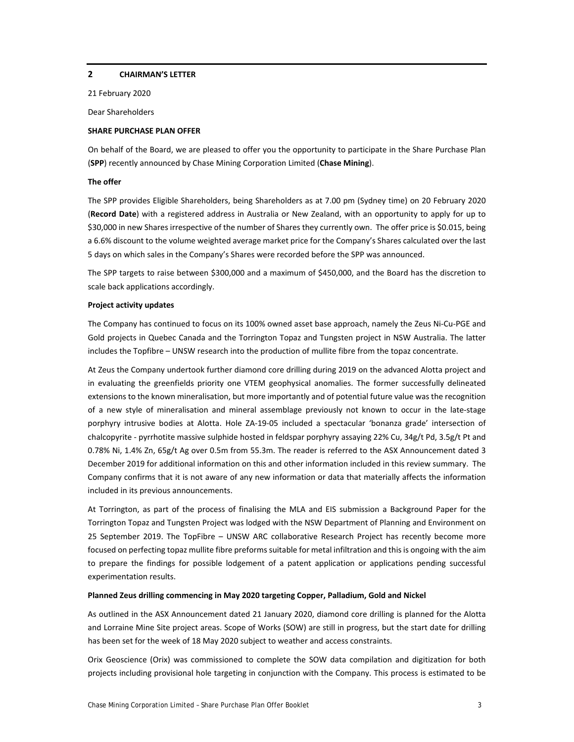#### **2 CHAIRMAN'S LETTER**

21 February 2020

Dear Shareholders

#### **SHARE PURCHASE PLAN OFFER**

On behalf of the Board, we are pleased to offer you the opportunity to participate in the Share Purchase Plan (**SPP**) recently announced by Chase Mining Corporation Limited (**Chase Mining**).

#### **The offer**

The SPP provides Eligible Shareholders, being Shareholders as at 7.00 pm (Sydney time) on 20 February 2020 (**Record Date**) with a registered address in Australia or New Zealand, with an opportunity to apply for up to \$30,000 in new Shares irrespective of the number of Shares they currently own. The offer price is \$0.015, being a 6.6% discount to the volume weighted average market price for the Company's Shares calculated over the last 5 days on which sales in the Company's Shares were recorded before the SPP was announced.

The SPP targets to raise between \$300,000 and a maximum of \$450,000, and the Board has the discretion to scale back applications accordingly.

#### **Project activity updates**

The Company has continued to focus on its 100% owned asset base approach, namely the Zeus Ni‐Cu‐PGE and Gold projects in Quebec Canada and the Torrington Topaz and Tungsten project in NSW Australia. The latter includes the Topfibre – UNSW research into the production of mullite fibre from the topaz concentrate.

At Zeus the Company undertook further diamond core drilling during 2019 on the advanced Alotta project and in evaluating the greenfields priority one VTEM geophysical anomalies. The former successfully delineated extensions to the known mineralisation, but more importantly and of potential future value was the recognition of a new style of mineralisation and mineral assemblage previously not known to occur in the late‐stage porphyry intrusive bodies at Alotta. Hole ZA‐19‐05 included a spectacular 'bonanza grade' intersection of chalcopyrite ‐ pyrrhotite massive sulphide hosted in feldspar porphyry assaying 22% Cu, 34g/t Pd, 3.5g/t Pt and 0.78% Ni, 1.4% Zn, 65g/t Ag over 0.5m from 55.3m. The reader is referred to the ASX Announcement dated 3 December 2019 for additional information on this and other information included in this review summary. The Company confirms that it is not aware of any new information or data that materially affects the information included in its previous announcements.

At Torrington, as part of the process of finalising the MLA and EIS submission a Background Paper for the Torrington Topaz and Tungsten Project was lodged with the NSW Department of Planning and Environment on 25 September 2019. The TopFibre – UNSW ARC collaborative Research Project has recently become more focused on perfecting topaz mullite fibre preforms suitable for metal infiltration and this is ongoing with the aim to prepare the findings for possible lodgement of a patent application or applications pending successful experimentation results.

#### **Planned Zeus drilling commencing in May 2020 targeting Copper, Palladium, Gold and Nickel**

As outlined in the ASX Announcement dated 21 January 2020, diamond core drilling is planned for the Alotta and Lorraine Mine Site project areas. Scope of Works (SOW) are still in progress, but the start date for drilling has been set for the week of 18 May 2020 subject to weather and access constraints.

Orix Geoscience (Orix) was commissioned to complete the SOW data compilation and digitization for both projects including provisional hole targeting in conjunction with the Company. This process is estimated to be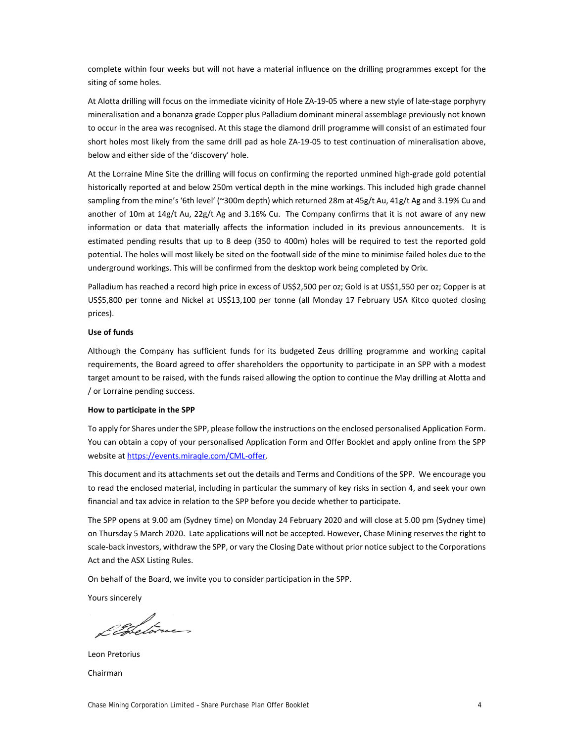complete within four weeks but will not have a material influence on the drilling programmes except for the siting of some holes.

At Alotta drilling will focus on the immediate vicinity of Hole ZA‐19‐05 where a new style of late‐stage porphyry mineralisation and a bonanza grade Copper plus Palladium dominant mineral assemblage previously not known to occur in the area was recognised. At this stage the diamond drill programme will consist of an estimated four short holes most likely from the same drill pad as hole ZA‐19‐05 to test continuation of mineralisation above, below and either side of the 'discovery' hole.

At the Lorraine Mine Site the drilling will focus on confirming the reported unmined high‐grade gold potential historically reported at and below 250m vertical depth in the mine workings. This included high grade channel sampling from the mine's '6th level' (~300m depth) which returned 28m at 45g/t Au, 41g/t Ag and 3.19% Cu and another of 10m at 14g/t Au, 22g/t Ag and 3.16% Cu. The Company confirms that it is not aware of any new information or data that materially affects the information included in its previous announcements. It is estimated pending results that up to 8 deep (350 to 400m) holes will be required to test the reported gold potential. The holes will most likely be sited on the footwall side of the mine to minimise failed holes due to the underground workings. This will be confirmed from the desktop work being completed by Orix.

Palladium has reached a record high price in excess of US\$2,500 per oz; Gold is at US\$1,550 per oz; Copper is at US\$5,800 per tonne and Nickel at US\$13,100 per tonne (all Monday 17 February USA Kitco quoted closing prices).

#### **Use of funds**

Although the Company has sufficient funds for its budgeted Zeus drilling programme and working capital requirements, the Board agreed to offer shareholders the opportunity to participate in an SPP with a modest target amount to be raised, with the funds raised allowing the option to continue the May drilling at Alotta and / or Lorraine pending success.

#### **How to participate in the SPP**

To apply for Shares under the SPP, please follow the instructions on the enclosed personalised Application Form. You can obtain a copy of your personalised Application Form and Offer Booklet and apply online from the SPP website at https://events.miraqle.com/CML-offer.

This document and its attachments set out the details and Terms and Conditions of the SPP. We encourage you to read the enclosed material, including in particular the summary of key risks in section 4, and seek your own financial and tax advice in relation to the SPP before you decide whether to participate.

The SPP opens at 9.00 am (Sydney time) on Monday 24 February 2020 and will close at 5.00 pm (Sydney time) on Thursday 5 March 2020. Late applications will not be accepted. However, Chase Mining reserves the right to scale-back investors, withdraw the SPP, or vary the Closing Date without prior notice subject to the Corporations Act and the ASX Listing Rules.

On behalf of the Board, we invite you to consider participation in the SPP.

Yours sincerely

Elbetorus

Leon Pretorius Chairman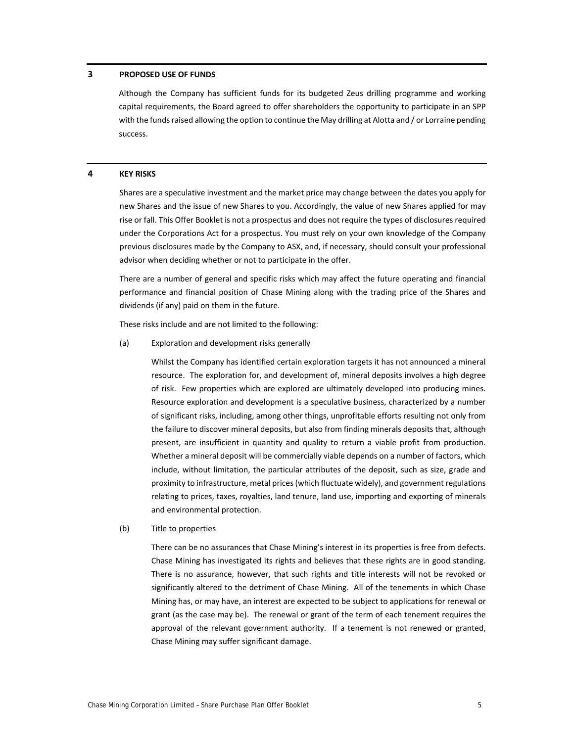#### **3 PROPOSED USE OF FUNDS**

Although the Company has sufficient funds for its budgeted Zeus drilling programme and working capital requirements, the Board agreed to offer shareholders the opportunity to participate in an SPP with the funds raised allowing the option to continue the May drilling at Alotta and / or Lorraine pending success.

#### **4 KEY RISKS**

Shares are a speculative investment and the market price may change between the dates you apply for new Shares and the issue of new Shares to you. Accordingly, the value of new Shares applied for may rise or fall. This Offer Booklet is not a prospectus and does not require the types of disclosures required under the Corporations Act for a prospectus. You must rely on your own knowledge of the Company previous disclosures made by the Company to ASX, and, if necessary, should consult your professional advisor when deciding whether or not to participate in the offer.

There are a number of general and specific risks which may affect the future operating and financial performance and financial position of Chase Mining along with the trading price of the Shares and dividends (if any) paid on them in the future.

These risks include and are not limited to the following:

(a) Exploration and development risks generally

Whilst the Company has identified certain exploration targets it has not announced a mineral resource. The exploration for, and development of, mineral deposits involves a high degree of risk. Few properties which are explored are ultimately developed into producing mines. Resource exploration and development is a speculative business, characterized by a number of significant risks, including, among other things, unprofitable efforts resulting not only from the failure to discover mineral deposits, but also from finding minerals deposits that, although present, are insufficient in quantity and quality to return a viable profit from production. Whether a mineral deposit will be commercially viable depends on a number of factors, which include, without limitation, the particular attributes of the deposit, such as size, grade and proximity to infrastructure, metal prices(which fluctuate widely), and government regulations relating to prices, taxes, royalties, land tenure, land use, importing and exporting of minerals and environmental protection.

(b) Title to properties

There can be no assurances that Chase Mining's interest in its properties is free from defects. Chase Mining has investigated its rights and believes that these rights are in good standing. There is no assurance, however, that such rights and title interests will not be revoked or significantly altered to the detriment of Chase Mining. All of the tenements in which Chase Mining has, or may have, an interest are expected to be subject to applications for renewal or grant (as the case may be). The renewal or grant of the term of each tenement requires the approval of the relevant government authority. If a tenement is not renewed or granted, Chase Mining may suffer significant damage.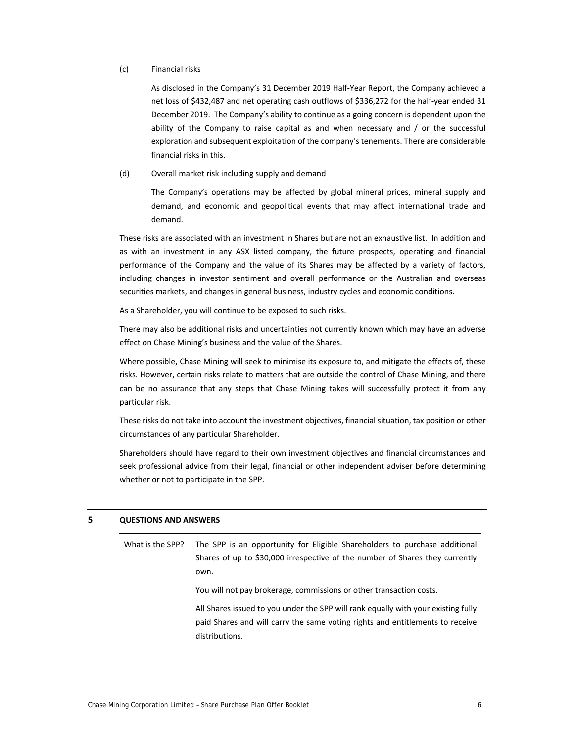#### (c) Financial risks

As disclosed in the Company's 31 December 2019 Half‐Year Report, the Company achieved a net loss of \$432,487 and net operating cash outflows of \$336,272 for the half‐year ended 31 December 2019. The Company's ability to continue as a going concern is dependent upon the ability of the Company to raise capital as and when necessary and / or the successful exploration and subsequent exploitation of the company'stenements. There are considerable financial risks in this.

#### (d) Overall market risk including supply and demand

The Company's operations may be affected by global mineral prices, mineral supply and demand, and economic and geopolitical events that may affect international trade and demand.

These risks are associated with an investment in Shares but are not an exhaustive list. In addition and as with an investment in any ASX listed company, the future prospects, operating and financial performance of the Company and the value of its Shares may be affected by a variety of factors, including changes in investor sentiment and overall performance or the Australian and overseas securities markets, and changes in general business, industry cycles and economic conditions.

As a Shareholder, you will continue to be exposed to such risks.

There may also be additional risks and uncertainties not currently known which may have an adverse effect on Chase Mining's business and the value of the Shares.

Where possible, Chase Mining will seek to minimise its exposure to, and mitigate the effects of, these risks. However, certain risks relate to matters that are outside the control of Chase Mining, and there can be no assurance that any steps that Chase Mining takes will successfully protect it from any particular risk.

These risks do not take into account the investment objectives, financial situation, tax position or other circumstances of any particular Shareholder.

Shareholders should have regard to their own investment objectives and financial circumstances and seek professional advice from their legal, financial or other independent adviser before determining whether or not to participate in the SPP.

#### **5 QUESTIONS AND ANSWERS**

What is the SPP? The SPP is an opportunity for Eligible Shareholders to purchase additional Shares of up to \$30,000 irrespective of the number of Shares they currently own.

You will not pay brokerage, commissions or other transaction costs.

All Shares issued to you under the SPP will rank equally with your existing fully paid Shares and will carry the same voting rights and entitlements to receive distributions.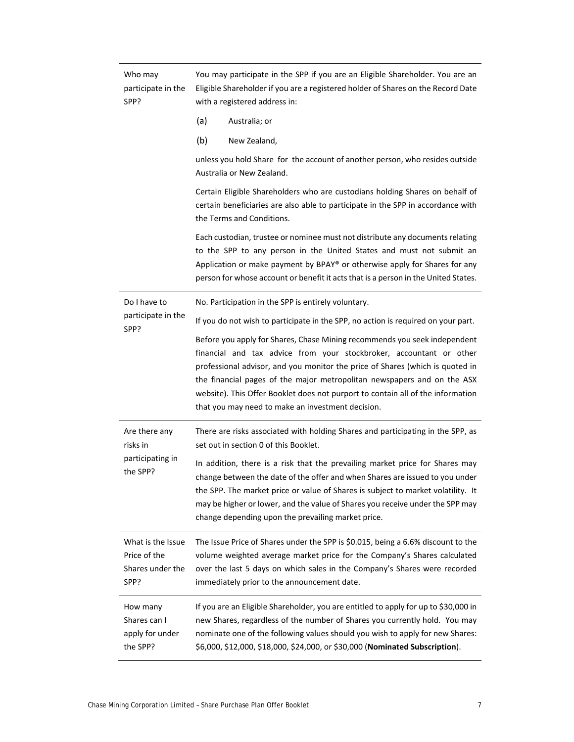| Who may<br>participate in the<br>SPP?                         | You may participate in the SPP if you are an Eligible Shareholder. You are an<br>Eligible Shareholder if you are a registered holder of Shares on the Record Date<br>with a registered address in:                                                                                                                                                                                                                                                   |  |  |  |
|---------------------------------------------------------------|------------------------------------------------------------------------------------------------------------------------------------------------------------------------------------------------------------------------------------------------------------------------------------------------------------------------------------------------------------------------------------------------------------------------------------------------------|--|--|--|
|                                                               | (a)<br>Australia; or                                                                                                                                                                                                                                                                                                                                                                                                                                 |  |  |  |
|                                                               | (b)<br>New Zealand,                                                                                                                                                                                                                                                                                                                                                                                                                                  |  |  |  |
|                                                               | unless you hold Share for the account of another person, who resides outside<br>Australia or New Zealand.                                                                                                                                                                                                                                                                                                                                            |  |  |  |
|                                                               | Certain Eligible Shareholders who are custodians holding Shares on behalf of<br>certain beneficiaries are also able to participate in the SPP in accordance with<br>the Terms and Conditions.                                                                                                                                                                                                                                                        |  |  |  |
|                                                               | Each custodian, trustee or nominee must not distribute any documents relating<br>to the SPP to any person in the United States and must not submit an<br>Application or make payment by BPAY® or otherwise apply for Shares for any<br>person for whose account or benefit it acts that is a person in the United States.                                                                                                                            |  |  |  |
| Do I have to                                                  | No. Participation in the SPP is entirely voluntary.                                                                                                                                                                                                                                                                                                                                                                                                  |  |  |  |
| participate in the<br>SPP?                                    | If you do not wish to participate in the SPP, no action is required on your part.                                                                                                                                                                                                                                                                                                                                                                    |  |  |  |
|                                                               | Before you apply for Shares, Chase Mining recommends you seek independent<br>financial and tax advice from your stockbroker, accountant or other<br>professional advisor, and you monitor the price of Shares (which is quoted in<br>the financial pages of the major metropolitan newspapers and on the ASX<br>website). This Offer Booklet does not purport to contain all of the information<br>that you may need to make an investment decision. |  |  |  |
| Are there any<br>risks in                                     | There are risks associated with holding Shares and participating in the SPP, as<br>set out in section 0 of this Booklet.                                                                                                                                                                                                                                                                                                                             |  |  |  |
| participating in<br>the SPP?                                  | In addition, there is a risk that the prevailing market price for Shares may<br>change between the date of the offer and when Shares are issued to you under<br>the SPP. The market price or value of Shares is subject to market volatility. It<br>may be higher or lower, and the value of Shares you receive under the SPP may<br>change depending upon the prevailing market price.                                                              |  |  |  |
| What is the Issue<br>Price of the<br>Shares under the<br>SPP? | The Issue Price of Shares under the SPP is \$0.015, being a 6.6% discount to the<br>volume weighted average market price for the Company's Shares calculated<br>over the last 5 days on which sales in the Company's Shares were recorded<br>immediately prior to the announcement date.                                                                                                                                                             |  |  |  |
| How many<br>Shares can I<br>apply for under<br>the SPP?       | If you are an Eligible Shareholder, you are entitled to apply for up to \$30,000 in<br>new Shares, regardless of the number of Shares you currently hold. You may<br>nominate one of the following values should you wish to apply for new Shares:<br>\$6,000, \$12,000, \$18,000, \$24,000, or \$30,000 (Nominated Subscription).                                                                                                                   |  |  |  |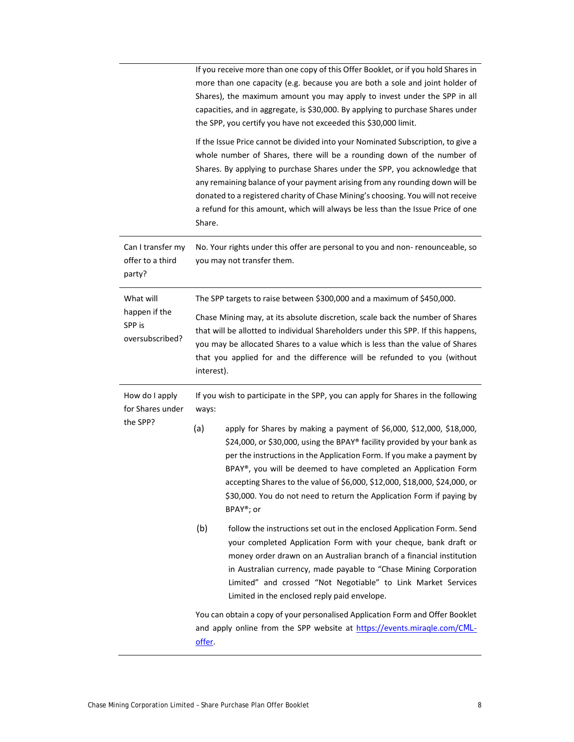|                                                 | If you receive more than one copy of this Offer Booklet, or if you hold Shares in<br>more than one capacity (e.g. because you are both a sole and joint holder of<br>Shares), the maximum amount you may apply to invest under the SPP in all<br>capacities, and in aggregate, is \$30,000. By applying to purchase Shares under<br>the SPP, you certify you have not exceeded this \$30,000 limit.                                                                                                       |  |  |
|-------------------------------------------------|-----------------------------------------------------------------------------------------------------------------------------------------------------------------------------------------------------------------------------------------------------------------------------------------------------------------------------------------------------------------------------------------------------------------------------------------------------------------------------------------------------------|--|--|
|                                                 | If the Issue Price cannot be divided into your Nominated Subscription, to give a<br>whole number of Shares, there will be a rounding down of the number of<br>Shares. By applying to purchase Shares under the SPP, you acknowledge that<br>any remaining balance of your payment arising from any rounding down will be<br>donated to a registered charity of Chase Mining's choosing. You will not receive<br>a refund for this amount, which will always be less than the Issue Price of one<br>Share. |  |  |
| Can I transfer my<br>offer to a third<br>party? | No. Your rights under this offer are personal to you and non- renounceable, so<br>you may not transfer them.                                                                                                                                                                                                                                                                                                                                                                                              |  |  |
| What will                                       | The SPP targets to raise between \$300,000 and a maximum of \$450,000.                                                                                                                                                                                                                                                                                                                                                                                                                                    |  |  |
| happen if the<br>SPP is<br>oversubscribed?      | Chase Mining may, at its absolute discretion, scale back the number of Shares<br>that will be allotted to individual Shareholders under this SPP. If this happens,<br>you may be allocated Shares to a value which is less than the value of Shares<br>that you applied for and the difference will be refunded to you (without<br>interest).                                                                                                                                                             |  |  |
| How do I apply<br>for Shares under              | If you wish to participate in the SPP, you can apply for Shares in the following<br>ways:                                                                                                                                                                                                                                                                                                                                                                                                                 |  |  |
| the SPP?                                        | (a)<br>apply for Shares by making a payment of \$6,000, \$12,000, \$18,000,<br>\$24,000, or \$30,000, using the BPAY® facility provided by your bank as<br>per the instructions in the Application Form. If you make a payment by<br>BPAY®, you will be deemed to have completed an Application Form<br>accepting Shares to the value of \$6,000, \$12,000, \$18,000, \$24,000, or<br>\$30,000. You do not need to return the Application Form if paying by<br>BPAY <sup>®</sup> ; or                     |  |  |
|                                                 | (b)<br>follow the instructions set out in the enclosed Application Form. Send<br>your completed Application Form with your cheque, bank draft or                                                                                                                                                                                                                                                                                                                                                          |  |  |
|                                                 | money order drawn on an Australian branch of a financial institution<br>in Australian currency, made payable to "Chase Mining Corporation<br>Limited" and crossed "Not Negotiable" to Link Market Services<br>Limited in the enclosed reply paid envelope.                                                                                                                                                                                                                                                |  |  |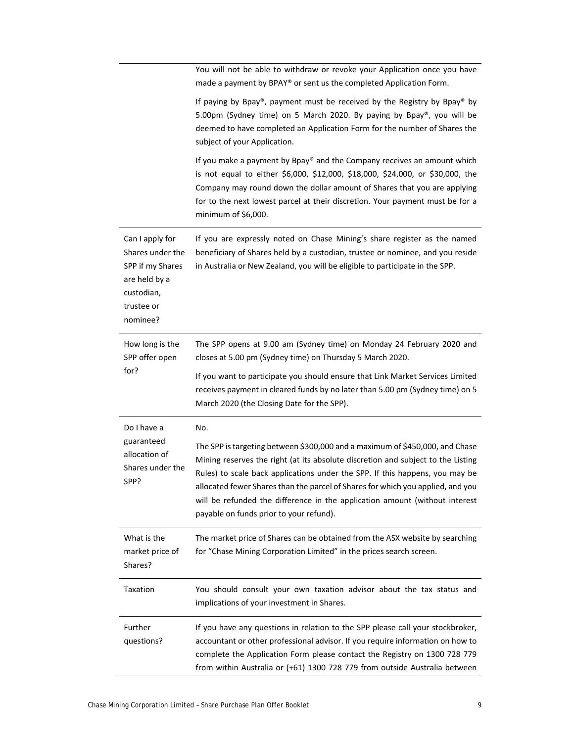|                                                                                                                  | You will not be able to withdraw or revoke your Application once you have<br>made a payment by BPAY® or sent us the completed Application Form.                                                                                                                                                                                                                                                                                                               |  |  |  |
|------------------------------------------------------------------------------------------------------------------|---------------------------------------------------------------------------------------------------------------------------------------------------------------------------------------------------------------------------------------------------------------------------------------------------------------------------------------------------------------------------------------------------------------------------------------------------------------|--|--|--|
|                                                                                                                  | If paying by Bpay®, payment must be received by the Registry by Bpay® by<br>5.00pm (Sydney time) on 5 March 2020. By paying by Bpay®, you will be<br>deemed to have completed an Application Form for the number of Shares the<br>subject of your Application.                                                                                                                                                                                                |  |  |  |
|                                                                                                                  | If you make a payment by Bpay® and the Company receives an amount which<br>is not equal to either \$6,000, \$12,000, \$18,000, \$24,000, or \$30,000, the<br>Company may round down the dollar amount of Shares that you are applying<br>for to the next lowest parcel at their discretion. Your payment must be for a<br>minimum of \$6,000.                                                                                                                 |  |  |  |
| Can I apply for<br>Shares under the<br>SPP if my Shares<br>are held by a<br>custodian,<br>trustee or<br>nominee? | If you are expressly noted on Chase Mining's share register as the named<br>beneficiary of Shares held by a custodian, trustee or nominee, and you reside<br>in Australia or New Zealand, you will be eligible to participate in the SPP.                                                                                                                                                                                                                     |  |  |  |
| How long is the<br>SPP offer open                                                                                | The SPP opens at 9.00 am (Sydney time) on Monday 24 February 2020 and<br>closes at 5.00 pm (Sydney time) on Thursday 5 March 2020.                                                                                                                                                                                                                                                                                                                            |  |  |  |
| for?                                                                                                             | If you want to participate you should ensure that Link Market Services Limited<br>receives payment in cleared funds by no later than 5.00 pm (Sydney time) on 5<br>March 2020 (the Closing Date for the SPP).                                                                                                                                                                                                                                                 |  |  |  |
| Do I have a                                                                                                      | No.                                                                                                                                                                                                                                                                                                                                                                                                                                                           |  |  |  |
| guaranteed<br>allocation of<br>Shares under the<br>SPP?                                                          | The SPP is targeting between \$300,000 and a maximum of \$450,000, and Chase<br>Mining reserves the right (at its absolute discretion and subject to the Listing<br>Rules) to scale back applications under the SPP. If this happens, you may be<br>allocated fewer Shares than the parcel of Shares for which you applied, and you<br>will be refunded the difference in the application amount (without interest<br>payable on funds prior to your refund). |  |  |  |
| What is the<br>market price of<br>Shares?                                                                        | The market price of Shares can be obtained from the ASX website by searching<br>for "Chase Mining Corporation Limited" in the prices search screen.                                                                                                                                                                                                                                                                                                           |  |  |  |
| Taxation                                                                                                         | You should consult your own taxation advisor about the tax status and<br>implications of your investment in Shares.                                                                                                                                                                                                                                                                                                                                           |  |  |  |
| Further<br>questions?                                                                                            | If you have any questions in relation to the SPP please call your stockbroker,<br>accountant or other professional advisor. If you require information on how to<br>complete the Application Form please contact the Registry on 1300 728 779<br>from within Australia or (+61) 1300 728 779 from outside Australia between                                                                                                                                   |  |  |  |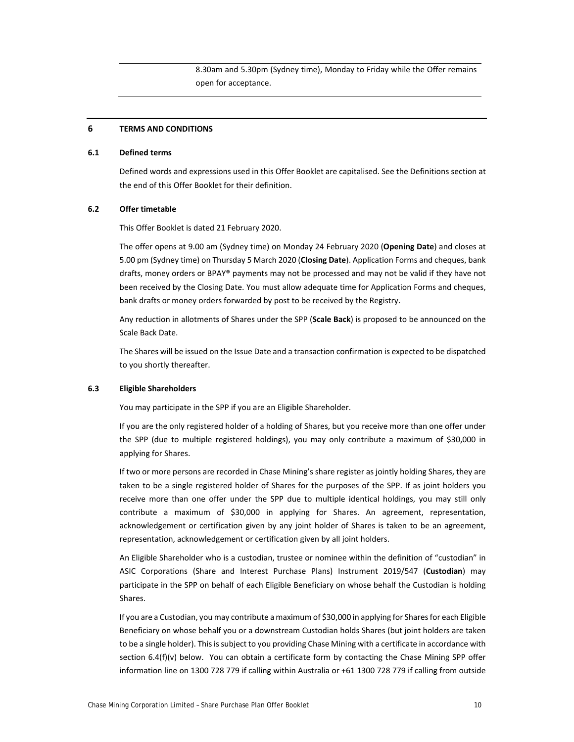8.30am and 5.30pm (Sydney time), Monday to Friday while the Offer remains open for acceptance.

#### **6 TERMS AND CONDITIONS**

#### **6.1 Defined terms**

Defined words and expressions used in this Offer Booklet are capitalised. See the Definitions section at the end of this Offer Booklet for their definition.

#### **6.2 Offer timetable**

This Offer Booklet is dated 21 February 2020.

The offer opens at 9.00 am (Sydney time) on Monday 24 February 2020 (**Opening Date**) and closes at 5.00 pm (Sydney time) on Thursday 5 March 2020 (**Closing Date**). Application Forms and cheques, bank drafts, money orders or BPAY® payments may not be processed and may not be valid if they have not been received by the Closing Date. You must allow adequate time for Application Forms and cheques, bank drafts or money orders forwarded by post to be received by the Registry.

Any reduction in allotments of Shares under the SPP (**Scale Back**) is proposed to be announced on the Scale Back Date.

The Shares will be issued on the Issue Date and a transaction confirmation is expected to be dispatched to you shortly thereafter.

#### **6.3 Eligible Shareholders**

You may participate in the SPP if you are an Eligible Shareholder.

If you are the only registered holder of a holding of Shares, but you receive more than one offer under the SPP (due to multiple registered holdings), you may only contribute a maximum of \$30,000 in applying for Shares.

If two or more persons are recorded in Chase Mining's share register as jointly holding Shares, they are taken to be a single registered holder of Shares for the purposes of the SPP. If as joint holders you receive more than one offer under the SPP due to multiple identical holdings, you may still only contribute a maximum of \$30,000 in applying for Shares. An agreement, representation, acknowledgement or certification given by any joint holder of Shares is taken to be an agreement, representation, acknowledgement or certification given by all joint holders.

An Eligible Shareholder who is a custodian, trustee or nominee within the definition of "custodian" in ASIC Corporations (Share and Interest Purchase Plans) Instrument 2019/547 (**Custodian**) may participate in the SPP on behalf of each Eligible Beneficiary on whose behalf the Custodian is holding Shares.

If you are a Custodian, you may contribute a maximum of \$30,000 in applying for Sharesfor each Eligible Beneficiary on whose behalf you or a downstream Custodian holds Shares (but joint holders are taken to be a single holder). This is subject to you providing Chase Mining with a certificate in accordance with section 6.4(f)(v) below. You can obtain a certificate form by contacting the Chase Mining SPP offer information line on 1300 728 779 if calling within Australia or +61 1300 728 779 if calling from outside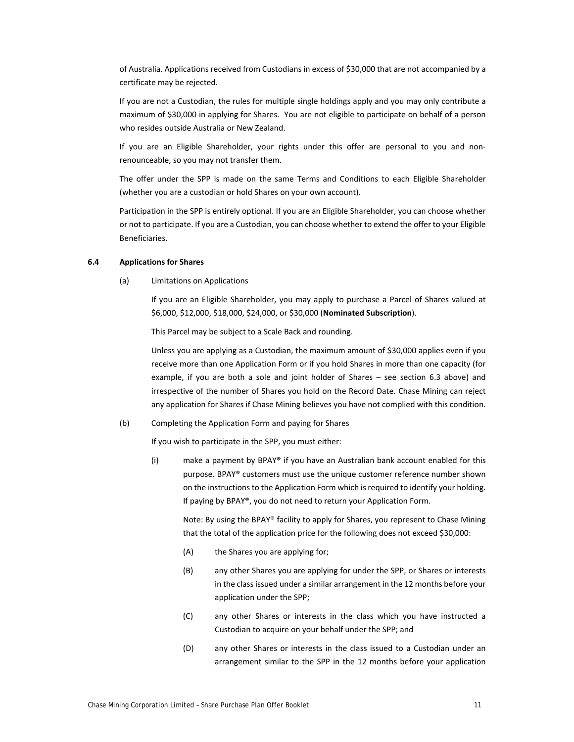of Australia. Applications received from Custodians in excess of \$30,000 that are not accompanied by a certificate may be rejected.

If you are not a Custodian, the rules for multiple single holdings apply and you may only contribute a maximum of \$30,000 in applying for Shares. You are not eligible to participate on behalf of a person who resides outside Australia or New Zealand.

If you are an Eligible Shareholder, your rights under this offer are personal to you and nonrenounceable, so you may not transfer them.

The offer under the SPP is made on the same Terms and Conditions to each Eligible Shareholder (whether you are a custodian or hold Shares on your own account).

Participation in the SPP is entirely optional. If you are an Eligible Shareholder, you can choose whether or not to participate. If you are a Custodian, you can choose whether to extend the offer to your Eligible Beneficiaries.

#### **6.4 Applications for Shares**

(a) Limitations on Applications

If you are an Eligible Shareholder, you may apply to purchase a Parcel of Shares valued at \$6,000, \$12,000, \$18,000, \$24,000, or \$30,000 (**Nominated Subscription**).

This Parcel may be subject to a Scale Back and rounding.

Unless you are applying as a Custodian, the maximum amount of \$30,000 applies even if you receive more than one Application Form or if you hold Shares in more than one capacity (for example, if you are both a sole and joint holder of Shares – see section 6.3 above) and irrespective of the number of Shares you hold on the Record Date. Chase Mining can reject any application for Shares if Chase Mining believes you have not complied with this condition.

(b) Completing the Application Form and paying for Shares

If you wish to participate in the SPP, you must either:

(i) make a payment by BPAY® if you have an Australian bank account enabled for this purpose. BPAY® customers must use the unique customer reference number shown on the instructionsto the Application Form which isrequired to identify your holding. If paying by BPAY®, you do not need to return your Application Form.

Note: By using the BPAY® facility to apply for Shares, you represent to Chase Mining that the total of the application price for the following does not exceed \$30,000:

- (A) the Shares you are applying for;
- (B) any other Shares you are applying for under the SPP, or Shares or interests in the class issued under a similar arrangement in the 12 months before your application under the SPP;
- (C) any other Shares or interests in the class which you have instructed a Custodian to acquire on your behalf under the SPP; and
- (D) any other Shares or interests in the class issued to a Custodian under an arrangement similar to the SPP in the 12 months before your application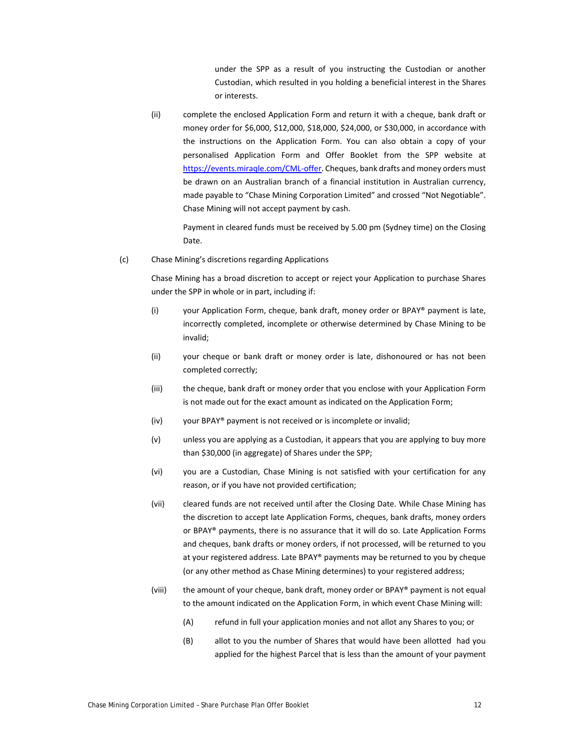under the SPP as a result of you instructing the Custodian or another Custodian, which resulted in you holding a beneficial interest in the Shares or interests.

(ii) complete the enclosed Application Form and return it with a cheque, bank draft or money order for \$6,000, \$12,000, \$18,000, \$24,000, or \$30,000, in accordance with the instructions on the Application Form. You can also obtain a copy of your personalised Application Form and Offer Booklet from the SPP website at https://events.miraqle.com/CML‐offer. Cheques, bank drafts and money orders must be drawn on an Australian branch of a financial institution in Australian currency, made payable to "Chase Mining Corporation Limited" and crossed "Not Negotiable". Chase Mining will not accept payment by cash.

Payment in cleared funds must be received by 5.00 pm (Sydney time) on the Closing Date.

(c) Chase Mining's discretions regarding Applications

Chase Mining has a broad discretion to accept or reject your Application to purchase Shares under the SPP in whole or in part, including if:

- (i) your Application Form, cheque, bank draft, money order or BPAY® payment is late, incorrectly completed, incomplete or otherwise determined by Chase Mining to be invalid;
- (ii) your cheque or bank draft or money order is late, dishonoured or has not been completed correctly;
- (iii) the cheque, bank draft or money order that you enclose with your Application Form is not made out for the exact amount as indicated on the Application Form;
- (iv) your BPAY® payment is not received or is incomplete or invalid;
- (v) unless you are applying as a Custodian, it appears that you are applying to buy more than \$30,000 (in aggregate) of Shares under the SPP;
- (vi) you are a Custodian, Chase Mining is not satisfied with your certification for any reason, or if you have not provided certification;
- (vii) cleared funds are not received until after the Closing Date. While Chase Mining has the discretion to accept late Application Forms, cheques, bank drafts, money orders or BPAY® payments, there is no assurance that it will do so. Late Application Forms and cheques, bank drafts or money orders, if not processed, will be returned to you at your registered address. Late BPAY® payments may be returned to you by cheque (or any other method as Chase Mining determines) to your registered address;
- (viii) the amount of your cheque, bank draft, money order or BPAY® payment is not equal to the amount indicated on the Application Form, in which event Chase Mining will:
	- (A) refund in full your application monies and not allot any Shares to you; or
	- (B) allot to you the number of Shares that would have been allotted had you applied for the highest Parcel that is less than the amount of your payment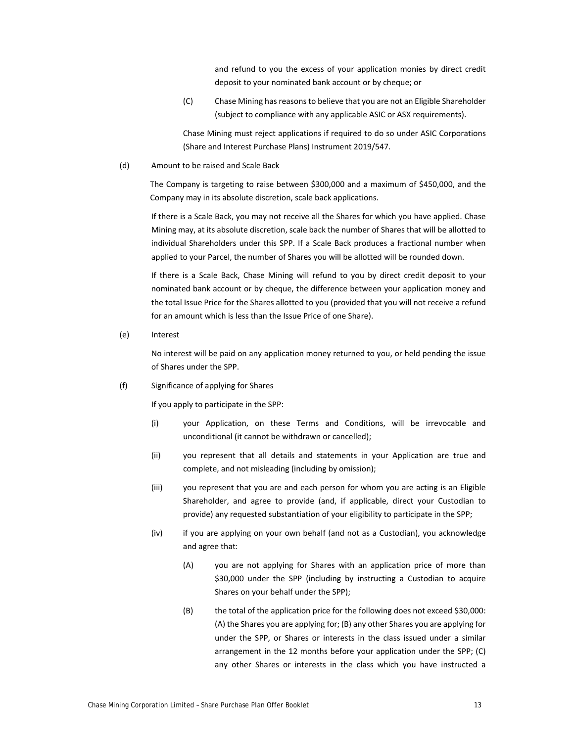and refund to you the excess of your application monies by direct credit deposit to your nominated bank account or by cheque; or

(C) Chase Mining hasreasonsto believe that you are not an Eligible Shareholder (subject to compliance with any applicable ASIC or ASX requirements).

Chase Mining must reject applications if required to do so under ASIC Corporations (Share and Interest Purchase Plans) Instrument 2019/547.

(d) Amount to be raised and Scale Back

The Company is targeting to raise between \$300,000 and a maximum of \$450,000, and the Company may in its absolute discretion, scale back applications.

If there is a Scale Back, you may not receive all the Shares for which you have applied. Chase Mining may, at its absolute discretion, scale back the number of Shares that will be allotted to individual Shareholders under this SPP. If a Scale Back produces a fractional number when applied to your Parcel, the number of Shares you will be allotted will be rounded down.

If there is a Scale Back, Chase Mining will refund to you by direct credit deposit to your nominated bank account or by cheque, the difference between your application money and the total Issue Price for the Shares allotted to you (provided that you will not receive a refund for an amount which is less than the Issue Price of one Share).

(e) Interest

No interest will be paid on any application money returned to you, or held pending the issue of Shares under the SPP.

(f) Significance of applying for Shares

If you apply to participate in the SPP:

- (i) your Application, on these Terms and Conditions, will be irrevocable and unconditional (it cannot be withdrawn or cancelled);
- (ii) you represent that all details and statements in your Application are true and complete, and not misleading (including by omission);
- (iii) you represent that you are and each person for whom you are acting is an Eligible Shareholder, and agree to provide (and, if applicable, direct your Custodian to provide) any requested substantiation of your eligibility to participate in the SPP;
- (iv) if you are applying on your own behalf (and not as a Custodian), you acknowledge and agree that:
	- (A) you are not applying for Shares with an application price of more than \$30,000 under the SPP (including by instructing a Custodian to acquire Shares on your behalf under the SPP);
	- (B) the total of the application price for the following does not exceed \$30,000: (A) the Shares you are applying for; (B) any other Shares you are applying for under the SPP, or Shares or interests in the class issued under a similar arrangement in the 12 months before your application under the SPP; (C) any other Shares or interests in the class which you have instructed a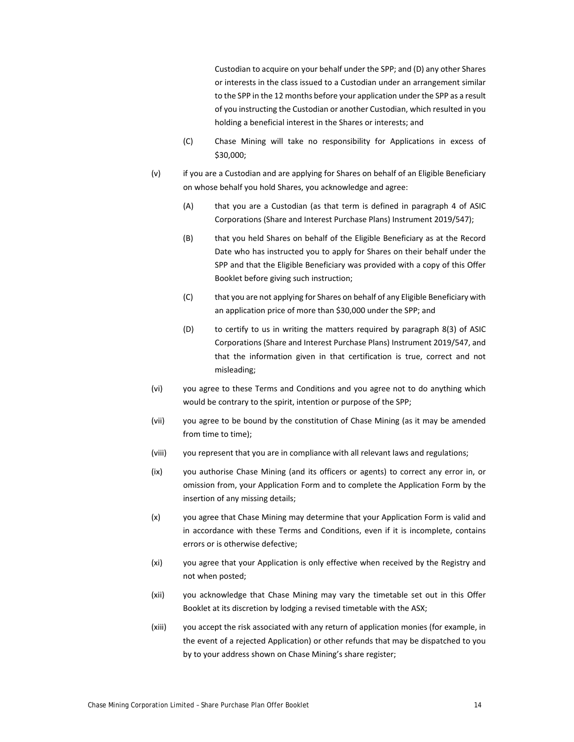Custodian to acquire on your behalf under the SPP; and (D) any other Shares or interests in the class issued to a Custodian under an arrangement similar to the SPP in the 12 months before your application under the SPP as a result of you instructing the Custodian or another Custodian, which resulted in you holding a beneficial interest in the Shares or interests; and

- (C) Chase Mining will take no responsibility for Applications in excess of \$30,000;
- (v) if you are a Custodian and are applying for Shares on behalf of an Eligible Beneficiary on whose behalf you hold Shares, you acknowledge and agree:
	- (A) that you are a Custodian (as that term is defined in paragraph 4 of ASIC Corporations (Share and Interest Purchase Plans) Instrument 2019/547);
	- (B) that you held Shares on behalf of the Eligible Beneficiary as at the Record Date who has instructed you to apply for Shares on their behalf under the SPP and that the Eligible Beneficiary was provided with a copy of this Offer Booklet before giving such instruction;
	- (C) that you are not applying for Shares on behalf of any Eligible Beneficiary with an application price of more than \$30,000 under the SPP; and
	- (D) to certify to us in writing the matters required by paragraph 8(3) of ASIC Corporations (Share and Interest Purchase Plans) Instrument 2019/547, and that the information given in that certification is true, correct and not misleading;
- (vi) you agree to these Terms and Conditions and you agree not to do anything which would be contrary to the spirit, intention or purpose of the SPP;
- (vii) you agree to be bound by the constitution of Chase Mining (as it may be amended from time to time);
- (viii) you represent that you are in compliance with all relevant laws and regulations;
- (ix) you authorise Chase Mining (and its officers or agents) to correct any error in, or omission from, your Application Form and to complete the Application Form by the insertion of any missing details;
- (x) you agree that Chase Mining may determine that your Application Form is valid and in accordance with these Terms and Conditions, even if it is incomplete, contains errors or is otherwise defective;
- (xi) you agree that your Application is only effective when received by the Registry and not when posted;
- (xii) you acknowledge that Chase Mining may vary the timetable set out in this Offer Booklet at its discretion by lodging a revised timetable with the ASX;
- (xiii) you accept the risk associated with any return of application monies (for example, in the event of a rejected Application) or other refunds that may be dispatched to you by to your address shown on Chase Mining's share register;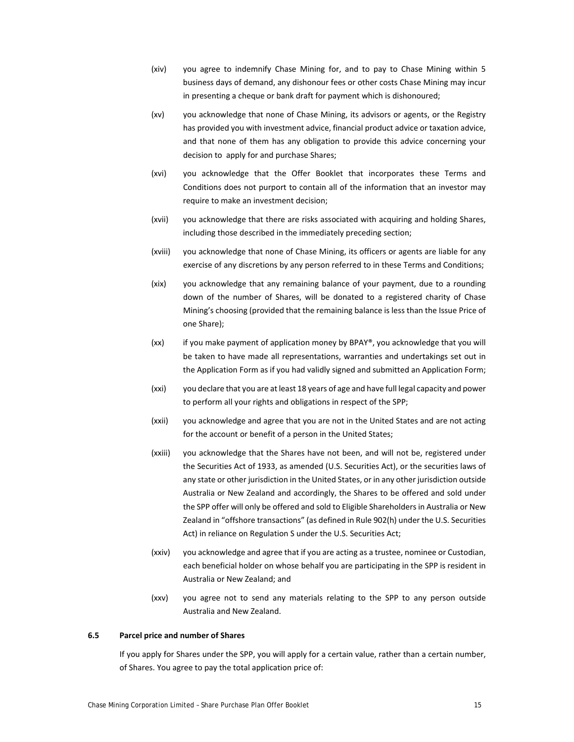- (xiv) you agree to indemnify Chase Mining for, and to pay to Chase Mining within 5 business days of demand, any dishonour fees or other costs Chase Mining may incur in presenting a cheque or bank draft for payment which is dishonoured;
- (xv) you acknowledge that none of Chase Mining, its advisors or agents, or the Registry has provided you with investment advice, financial product advice or taxation advice, and that none of them has any obligation to provide this advice concerning your decision to apply for and purchase Shares;
- (xvi) you acknowledge that the Offer Booklet that incorporates these Terms and Conditions does not purport to contain all of the information that an investor may require to make an investment decision;
- (xvii) you acknowledge that there are risks associated with acquiring and holding Shares, including those described in the immediately preceding section;
- (xviii) you acknowledge that none of Chase Mining, its officers or agents are liable for any exercise of any discretions by any person referred to in these Terms and Conditions;
- (xix) you acknowledge that any remaining balance of your payment, due to a rounding down of the number of Shares, will be donated to a registered charity of Chase Mining's choosing (provided that the remaining balance is less than the Issue Price of one Share);
- (xx) if you make payment of application money by BPAY®, you acknowledge that you will be taken to have made all representations, warranties and undertakings set out in the Application Form as if you had validly signed and submitted an Application Form;
- (xxi) you declare that you are at least 18 years of age and have full legal capacity and power to perform all your rights and obligations in respect of the SPP;
- (xxii) you acknowledge and agree that you are not in the United States and are not acting for the account or benefit of a person in the United States;
- (xxiii) you acknowledge that the Shares have not been, and will not be, registered under the Securities Act of 1933, as amended (U.S. Securities Act), or the securities laws of any state or other jurisdiction in the United States, or in any other jurisdiction outside Australia or New Zealand and accordingly, the Shares to be offered and sold under the SPP offer will only be offered and sold to Eligible Shareholders in Australia or New Zealand in "offshore transactions" (as defined in Rule 902(h) under the U.S. Securities Act) in reliance on Regulation S under the U.S. Securities Act;
- (xxiv) you acknowledge and agree that if you are acting as a trustee, nominee or Custodian, each beneficial holder on whose behalf you are participating in the SPP is resident in Australia or New Zealand; and
- (xxv) you agree not to send any materials relating to the SPP to any person outside Australia and New Zealand.

#### **6.5 Parcel price and number of Shares**

If you apply for Shares under the SPP, you will apply for a certain value, rather than a certain number, of Shares. You agree to pay the total application price of: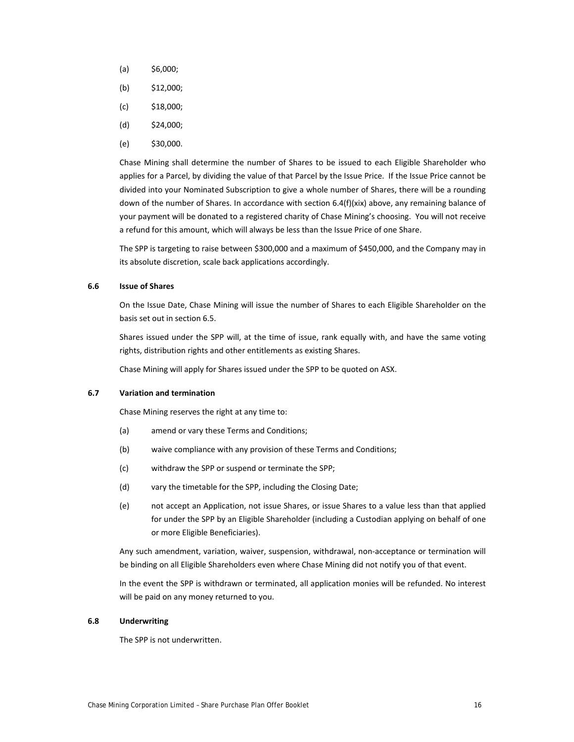- $(a)$  \$6,000;
- (b) \$12,000;
- $(c)$  \$18,000;
- $(d)$  \$24,000;
- $(e)$  \$30,000.

Chase Mining shall determine the number of Shares to be issued to each Eligible Shareholder who applies for a Parcel, by dividing the value of that Parcel by the Issue Price. If the Issue Price cannot be divided into your Nominated Subscription to give a whole number of Shares, there will be a rounding down of the number of Shares. In accordance with section 6.4(f)(xix) above, any remaining balance of your payment will be donated to a registered charity of Chase Mining's choosing. You will not receive a refund for this amount, which will always be less than the Issue Price of one Share.

The SPP is targeting to raise between \$300,000 and a maximum of \$450,000, and the Company may in its absolute discretion, scale back applications accordingly.

#### **6.6 Issue of Shares**

On the Issue Date, Chase Mining will issue the number of Shares to each Eligible Shareholder on the basis set out in section 6.5.

Shares issued under the SPP will, at the time of issue, rank equally with, and have the same voting rights, distribution rights and other entitlements as existing Shares.

Chase Mining will apply for Shares issued under the SPP to be quoted on ASX.

#### **6.7 Variation and termination**

Chase Mining reserves the right at any time to:

- (a) amend or vary these Terms and Conditions;
- (b) waive compliance with any provision of these Terms and Conditions;
- (c) withdraw the SPP or suspend or terminate the SPP;
- (d) vary the timetable for the SPP, including the Closing Date;
- (e) not accept an Application, not issue Shares, or issue Shares to a value less than that applied for under the SPP by an Eligible Shareholder (including a Custodian applying on behalf of one or more Eligible Beneficiaries).

Any such amendment, variation, waiver, suspension, withdrawal, non‐acceptance or termination will be binding on all Eligible Shareholders even where Chase Mining did not notify you of that event.

In the event the SPP is withdrawn or terminated, all application monies will be refunded. No interest will be paid on any money returned to you.

#### **6.8 Underwriting**

The SPP is not underwritten.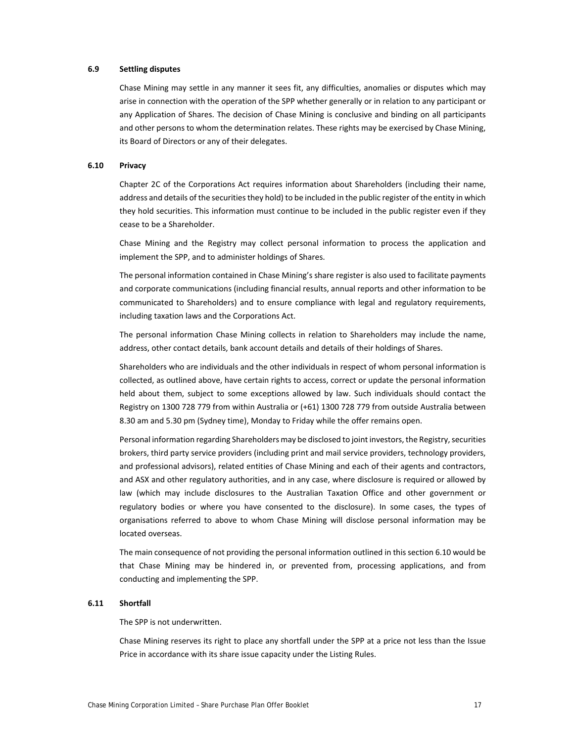#### **6.9 Settling disputes**

Chase Mining may settle in any manner it sees fit, any difficulties, anomalies or disputes which may arise in connection with the operation of the SPP whether generally or in relation to any participant or any Application of Shares. The decision of Chase Mining is conclusive and binding on all participants and other persons to whom the determination relates. These rights may be exercised by Chase Mining, its Board of Directors or any of their delegates.

#### **6.10 Privacy**

Chapter 2C of the Corporations Act requires information about Shareholders (including their name, address and details of the securities they hold) to be included in the public register of the entity in which they hold securities. This information must continue to be included in the public register even if they cease to be a Shareholder.

Chase Mining and the Registry may collect personal information to process the application and implement the SPP, and to administer holdings of Shares.

The personal information contained in Chase Mining's share register is also used to facilitate payments and corporate communications (including financial results, annual reports and other information to be communicated to Shareholders) and to ensure compliance with legal and regulatory requirements, including taxation laws and the Corporations Act.

The personal information Chase Mining collects in relation to Shareholders may include the name, address, other contact details, bank account details and details of their holdings of Shares.

Shareholders who are individuals and the other individuals in respect of whom personal information is collected, as outlined above, have certain rights to access, correct or update the personal information held about them, subject to some exceptions allowed by law. Such individuals should contact the Registry on 1300 728 779 from within Australia or (+61) 1300 728 779 from outside Australia between 8.30 am and 5.30 pm (Sydney time), Monday to Friday while the offer remains open.

Personal information regarding Shareholders may be disclosed to joint investors, the Registry, securities brokers, third party service providers (including print and mail service providers, technology providers, and professional advisors), related entities of Chase Mining and each of their agents and contractors, and ASX and other regulatory authorities, and in any case, where disclosure is required or allowed by law (which may include disclosures to the Australian Taxation Office and other government or regulatory bodies or where you have consented to the disclosure). In some cases, the types of organisations referred to above to whom Chase Mining will disclose personal information may be located overseas.

The main consequence of not providing the personal information outlined in this section 6.10 would be that Chase Mining may be hindered in, or prevented from, processing applications, and from conducting and implementing the SPP.

#### **6.11 Shortfall**

The SPP is not underwritten.

Chase Mining reserves its right to place any shortfall under the SPP at a price not less than the Issue Price in accordance with its share issue capacity under the Listing Rules.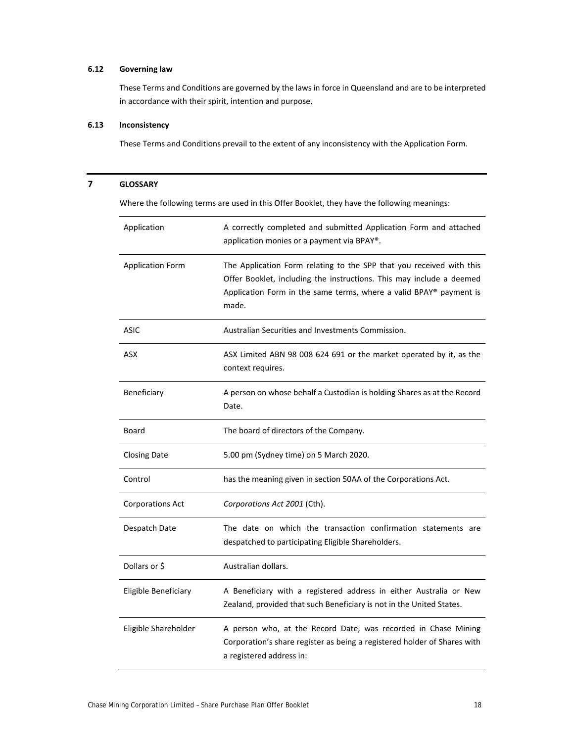### **6.12 Governing law**

These Terms and Conditions are governed by the laws in force in Queensland and are to be interpreted in accordance with their spirit, intention and purpose.

## **6.13 Inconsistency**

These Terms and Conditions prevail to the extent of any inconsistency with the Application Form.

| Application             | A correctly completed and submitted Application Form and attached<br>application monies or a payment via BPAY®.                                                                                                             |
|-------------------------|-----------------------------------------------------------------------------------------------------------------------------------------------------------------------------------------------------------------------------|
| <b>Application Form</b> | The Application Form relating to the SPP that you received with this<br>Offer Booklet, including the instructions. This may include a deemed<br>Application Form in the same terms, where a valid BPAY® payment is<br>made. |
| <b>ASIC</b>             | Australian Securities and Investments Commission.                                                                                                                                                                           |
| <b>ASX</b>              | ASX Limited ABN 98 008 624 691 or the market operated by it, as the<br>context requires.                                                                                                                                    |
| Beneficiary             | A person on whose behalf a Custodian is holding Shares as at the Record<br>Date.                                                                                                                                            |
| Board                   | The board of directors of the Company.                                                                                                                                                                                      |
| <b>Closing Date</b>     | 5.00 pm (Sydney time) on 5 March 2020.                                                                                                                                                                                      |
| Control                 | has the meaning given in section 50AA of the Corporations Act.                                                                                                                                                              |
| <b>Corporations Act</b> | Corporations Act 2001 (Cth).                                                                                                                                                                                                |
| Despatch Date           | The date on which the transaction confirmation statements are<br>despatched to participating Eligible Shareholders.                                                                                                         |
| Dollars or \$           | Australian dollars.                                                                                                                                                                                                         |
| Eligible Beneficiary    | A Beneficiary with a registered address in either Australia or New<br>Zealand, provided that such Beneficiary is not in the United States.                                                                                  |
| Eligible Shareholder    | A person who, at the Record Date, was recorded in Chase Mining<br>Corporation's share register as being a registered holder of Shares with<br>a registered address in:                                                      |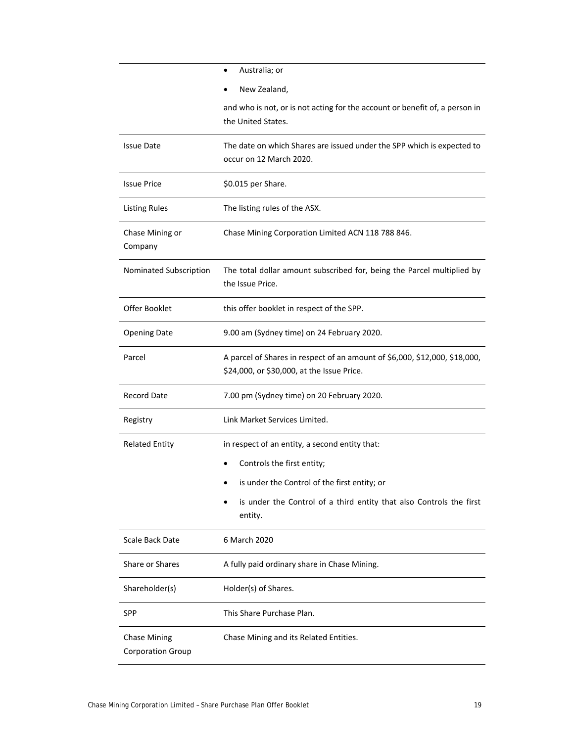|                                                 | Australia; or<br>$\bullet$                                                                        |  |  |
|-------------------------------------------------|---------------------------------------------------------------------------------------------------|--|--|
|                                                 | New Zealand,                                                                                      |  |  |
|                                                 | and who is not, or is not acting for the account or benefit of, a person in                       |  |  |
|                                                 | the United States.                                                                                |  |  |
| <b>Issue Date</b>                               | The date on which Shares are issued under the SPP which is expected to<br>occur on 12 March 2020. |  |  |
| <b>Issue Price</b>                              | \$0.015 per Share.                                                                                |  |  |
| <b>Listing Rules</b>                            | The listing rules of the ASX.                                                                     |  |  |
| Chase Mining or<br>Company                      | Chase Mining Corporation Limited ACN 118 788 846.                                                 |  |  |
| Nominated Subscription                          | The total dollar amount subscribed for, being the Parcel multiplied by<br>the Issue Price.        |  |  |
| Offer Booklet                                   | this offer booklet in respect of the SPP.                                                         |  |  |
| <b>Opening Date</b>                             | 9.00 am (Sydney time) on 24 February 2020.                                                        |  |  |
| Parcel                                          | A parcel of Shares in respect of an amount of \$6,000, \$12,000, \$18,000,                        |  |  |
|                                                 | \$24,000, or \$30,000, at the Issue Price.                                                        |  |  |
| <b>Record Date</b>                              | 7.00 pm (Sydney time) on 20 February 2020.                                                        |  |  |
| Registry                                        | Link Market Services Limited.                                                                     |  |  |
| <b>Related Entity</b>                           | in respect of an entity, a second entity that:                                                    |  |  |
|                                                 | Controls the first entity;                                                                        |  |  |
|                                                 | is under the Control of the first entity; or                                                      |  |  |
|                                                 | is under the Control of a third entity that also Controls the first<br>entity.                    |  |  |
| Scale Back Date                                 | 6 March 2020                                                                                      |  |  |
| Share or Shares                                 | A fully paid ordinary share in Chase Mining.                                                      |  |  |
| Shareholder(s)                                  | Holder(s) of Shares.                                                                              |  |  |
| SPP                                             | This Share Purchase Plan.                                                                         |  |  |
| <b>Chase Mining</b><br><b>Corporation Group</b> | Chase Mining and its Related Entities.                                                            |  |  |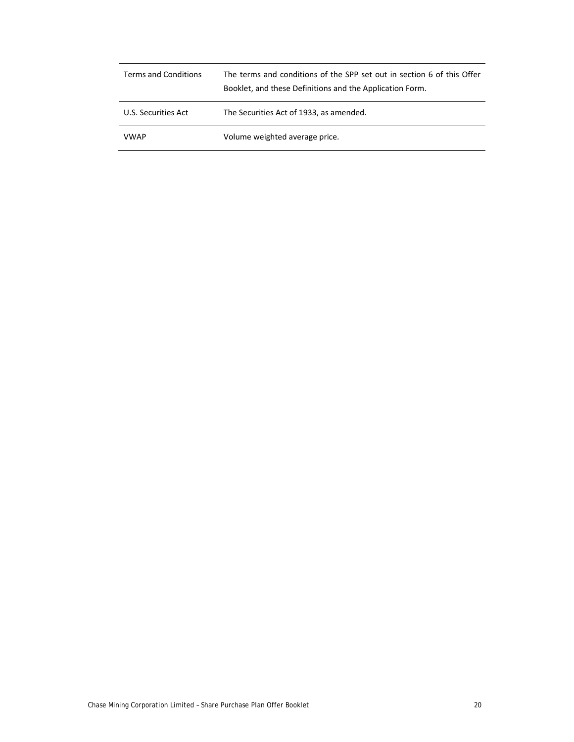| <b>Terms and Conditions</b> | The terms and conditions of the SPP set out in section 6 of this Offer<br>Booklet, and these Definitions and the Application Form. |
|-----------------------------|------------------------------------------------------------------------------------------------------------------------------------|
| U.S. Securities Act         | The Securities Act of 1933, as amended.                                                                                            |
| <b>VWAP</b>                 | Volume weighted average price.                                                                                                     |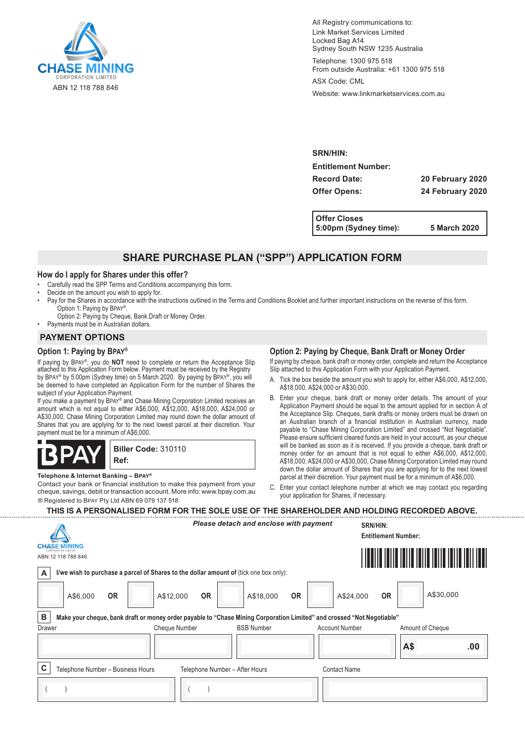

All Registry communications to: Link Market Services Limited Locked Bag A14 Sydney South NSW 1235 Australia

Telephone: 1300 975 518 From outside Australia: +61 1300 975 518

ASX Code: CML

Website: www.linkmarketservices.com.au

**SRN/HIN: Entitlement Number: Record Date: 20 February 2020 Offer Opens: 24 February 2020**

**Offer Closes 5:00pm (Sydney time): 5 March 2020**

## **SHARE PURCHASE PLAN ("SPP") APPLICATION FORM**

#### **How do I apply for Shares under this offer?**

- Carefully read the SPP Terms and Conditions accompanying this form.
- Decide on the amount you wish to apply for.
- Pay for the Shares in accordance with the instructions outlined in the Terms and Conditions Booklet and further important instructions on the reverse of this form. Option 1: Paying by Bpay®.
- Option 2: Paying by Cheque, Bank Draft or Money Order. • Payments must be in Australian dollars.

## **PAYMENT OPTIONS**

## **Option 1: Paying by Bpay®**

If paying by Bpay® , you do **NOT** need to complete or return the Acceptance Slip attached to this Application Form below. Payment must be received by the Registry by BPAY® by 5:00pm (Sydney time) on 5 March 2020. By paying by BPAY®, you will be deemed to have completed an Application Form for the number of Shares the subject of your Application Payment.

If you make a payment by BPAY® and Chase Mining Corporation Limited receives an amount which is not equal to either A\$6,000, A\$12,000, A\$18,000, A\$24,000 or A\$30,000, Chase Mining Corporation Limited may round down the dollar amount of Shares that you are applying for to the next lowest parcel at their discretion. Your payment must be for a minimum of A\$6,000.

 $\blacksquare$ **Biller Code:** 310110 **Ref:**

#### **Telephone & Internet Banking – Bpay®**

® Registered to Bpay Pty Ltd ABN 69 079 137 518 Contact your bank or financial institution to make this payment from your cheque, savings, debit or transaction account. More info: www.bpay.com.au

## **Option 2: Paying by Cheque, Bank Draft or Money Order**

If paying by cheque, bank draft or money order, complete and return the Acceptance Slip attached to this Application Form with your Application Payment.

- A. Tick the box beside the amount you wish to apply for, either A\$6,000, A\$12,000, A\$18,000, A\$24,000 or A\$30,000.
- B. Enter your cheque, bank draft or money order details. The amount of your Application Payment should be equal to the amount applied for in section A of the Acceptance Slip. Cheques, bank drafts or money orders must be drawn on an Australian branch of a financial institution in Australian currency, made payable to "Chase Mining Corporation Limited" and crossed "Not Negotiable". Please ensure sufficient cleared funds are held in your account, as your cheque will be banked as soon as it is received. If you provide a cheque, bank draft or money order for an amount that is not equal to either A\$6,000, A\$12,000, A\$18,000, A\$24,000 or A\$30,000, Chase Mining Corporation Limited may round down the dollar amount of Shares that you are applying for to the next lowest parcel at their discretion. Your payment must be for a minimum of A\$6,000.
- C. Enter your contact telephone number at which we may contact you regarding your application for Shares, if necessary.

| THIS IS A PERSONALISED FORM FOR THE SOLE USE OF THE SHAREHOLDER AND HOLDING RECORDED ABOVE. |    |
|---------------------------------------------------------------------------------------------|----|
| Plassa datach and anclosa with naymant                                                      | AD |

|        |                                                                                                                        |                        | <u>yaya aytayn ana dhordoo mtin paymont</u> |           | <b>SKN/FIIN.</b>      | <b>Entitlement Number:</b> |                                                                                                                      |
|--------|------------------------------------------------------------------------------------------------------------------------|------------------------|---------------------------------------------|-----------|-----------------------|----------------------------|----------------------------------------------------------------------------------------------------------------------|
|        | <b>CHASE MINING</b>                                                                                                    |                        |                                             |           |                       |                            |                                                                                                                      |
|        | ABN 12 118 788 846                                                                                                     |                        |                                             |           |                       |                            | <u>MANIJI MATIJI MATIJI MATIJI MATIJI MATIJI MATIJI MATIJI MATIJI MATIJI MATIJI MATIJI MATIJI MATIJI MATIJI MATI</u> |
| A      | I/we wish to purchase a parcel of Shares to the dollar amount of (tick one box only):                                  |                        |                                             |           |                       |                            |                                                                                                                      |
|        | <b>OR</b><br>A\$6,000                                                                                                  | <b>OR</b><br>A\$12,000 | A\$18,000                                   | <b>OR</b> | A\$24,000             | <b>OR</b>                  | A\$30,000                                                                                                            |
| в      | Make your cheque, bank draft or money order payable to "Chase Mining Corporation Limited" and crossed "Not Negotiable" |                        |                                             |           |                       |                            |                                                                                                                      |
| Drawer |                                                                                                                        | <b>Cheque Number</b>   | <b>BSB Number</b>                           |           | <b>Account Number</b> |                            | Amount of Cheque                                                                                                     |
|        |                                                                                                                        |                        |                                             |           |                       | A\$                        | .00                                                                                                                  |
| C      | Telephone Number - Business Hours                                                                                      |                        | Telephone Number - After Hours              |           | <b>Contact Name</b>   |                            |                                                                                                                      |
|        |                                                                                                                        |                        |                                             |           |                       |                            |                                                                                                                      |